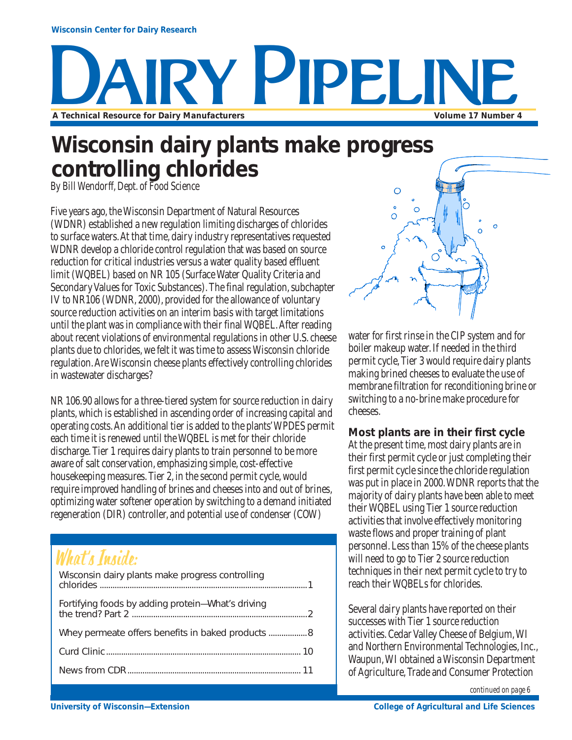# Y PIPELIN **A Technical Resource for Dairy Manufacturers Volume 17 Number 4**

### **Wisconsin dairy plants make progress controlling chlorides**

*By Bill Wendorff, Dept. of Food Science*

Five years ago, the Wisconsin Department of Natural Resources (WDNR) established a new regulation limiting discharges of chlorides to surface waters. At that time, dairy industry representatives requested WDNR develop a chloride control regulation that was based on source reduction for critical industries versus a water quality based effluent limit (WQBEL) based on NR 105 (Surface Water Quality Criteria and Secondary Values for Toxic Substances). The final regulation, subchapter IV to NR106 (WDNR, 2000), provided for the allowance of voluntary source reduction activities on an interim basis with target limitations until the plant was in compliance with their final WQBEL. After reading about recent violations of environmental regulations in other U.S. cheese plants due to chlorides, we felt it was time to assess Wisconsin chloride regulation. Are Wisconsin cheese plants effectively controlling chlorides in wastewater discharges?

NR 106.90 allows for a three-tiered system for source reduction in dairy plants, which is established in ascending order of increasing capital and operating costs. An additional tier is added to the plants' WPDES permit each time it is renewed until the WQBEL is met for their chloride discharge. Tier 1 requires dairy plants to train personnel to be more aware of salt conservation, emphasizing simple, cost-effective housekeeping measures. Tier 2, in the second permit cycle, would require improved handling of brines and cheeses into and out of brines, optimizing water softener operation by switching to a demand initiated regeneration (DIR) controller, and potential use of condenser (COW)

### What's Inside:

| Wisconsin dairy plants make progress controlling  |
|---------------------------------------------------|
| Fortifying foods by adding protein-What's driving |
|                                                   |
|                                                   |
|                                                   |



water for first rinse in the CIP system and for boiler makeup water. If needed in the third permit cycle, Tier 3 would require dairy plants making brined cheeses to evaluate the use of membrane filtration for reconditioning brine or switching to a no-brine make procedure for cheeses.

#### **Most plants are in their first cycle**

At the present time, most dairy plants are in their first permit cycle or just completing their first permit cycle since the chloride regulation was put in place in 2000. WDNR reports that the majority of dairy plants have been able to meet their WQBEL using Tier 1 source reduction activities that involve effectively monitoring waste flows and proper training of plant personnel. Less than 15% of the cheese plants will need to go to Tier 2 source reduction techniques in their next permit cycle to try to reach their WQBELs for chlorides.

Several dairy plants have reported on their successes with Tier 1 source reduction activities. Cedar Valley Cheese of Belgium, WI and Northern Environmental Technologies, Inc., Waupun, WI obtained a Wisconsin Department of Agriculture, Trade and Consumer Protection

*continued on page 6*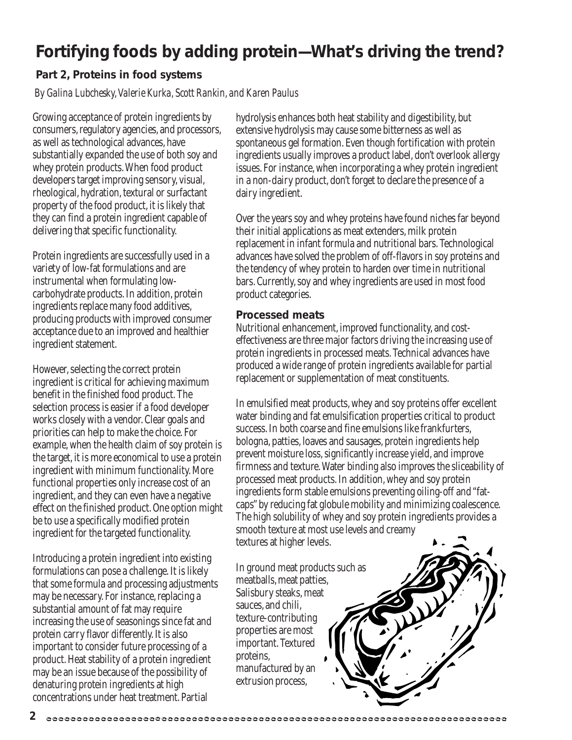### **Fortifying foods by adding protein—What's driving the trend?**

#### **Part 2, Proteins in food systems**

*By Galina Lubchesky, Valerie Kurka, Scott Rankin, and Karen Paulus*

Growing acceptance of protein ingredients by consumers, regulatory agencies, and processors, as well as technological advances, have substantially expanded the use of both soy and whey protein products. When food product developers target improving sensory, visual, rheological, hydration, textural or surfactant property of the food product, it is likely that they can find a protein ingredient capable of delivering that specific functionality.

Protein ingredients are successfully used in a variety of low-fat formulations and are instrumental when formulating lowcarbohydrate products. In addition, protein ingredients replace many food additives, producing products with improved consumer acceptance due to an improved and healthier ingredient statement.

However, selecting the correct protein ingredient is critical for achieving maximum benefit in the finished food product. The selection process is easier if a food developer works closely with a vendor. Clear goals and priorities can help to make the choice. For example, when the health claim of soy protein is the target, it is more economical to use a protein ingredient with minimum functionality. More functional properties only increase cost of an ingredient, and they can even have a negative effect on the finished product. One option might be to use a specifically modified protein ingredient for the targeted functionality.

Introducing a protein ingredient into existing formulations can pose a challenge. It is likely that some formula and processing adjustments may be necessary. For instance, replacing a substantial amount of fat may require increasing the use of seasonings since fat and protein carry flavor differently. It is also important to consider future processing of a product. Heat stability of a protein ingredient may be an issue because of the possibility of denaturing protein ingredients at high concentrations under heat treatment. Partial

hydrolysis enhances both heat stability and digestibility, but extensive hydrolysis may cause some bitterness as well as spontaneous gel formation. Even though fortification with protein ingredients usually improves a product label, don't overlook allergy issues. For instance, when incorporating a whey protein ingredient in a non-dairy product, don't forget to declare the presence of a dairy ingredient.

Over the years soy and whey proteins have found niches far beyond their initial applications as meat extenders, milk protein replacement in infant formula and nutritional bars. Technological advances have solved the problem of off-flavors in soy proteins and the tendency of whey protein to harden over time in nutritional bars. Currently, soy and whey ingredients are used in most food product categories.

#### **Processed meats**

Nutritional enhancement, improved functionality, and costeffectiveness are three major factors driving the increasing use of protein ingredients in processed meats. Technical advances have produced a wide range of protein ingredients available for partial replacement or supplementation of meat constituents.

In emulsified meat products, whey and soy proteins offer excellent water binding and fat emulsification properties critical to product success. In both coarse and fine emulsions like frankfurters, bologna, patties, loaves and sausages, protein ingredients help prevent moisture loss, significantly increase yield, and improve firmness and texture. Water binding also improves the sliceability of processed meat products. In addition, whey and soy protein ingredients form stable emulsions preventing oiling-off and "fatcaps" by reducing fat globule mobility and minimizing coalescence. The high solubility of whey and soy protein ingredients provides a smooth texture at most use levels and creamy textures at higher levels.

In ground meat products such as meatballs, meat patties, Salisbury steaks, meat sauces, and chili, texture-contributing properties are most important. Textured proteins, manufactured by an extrusion process,

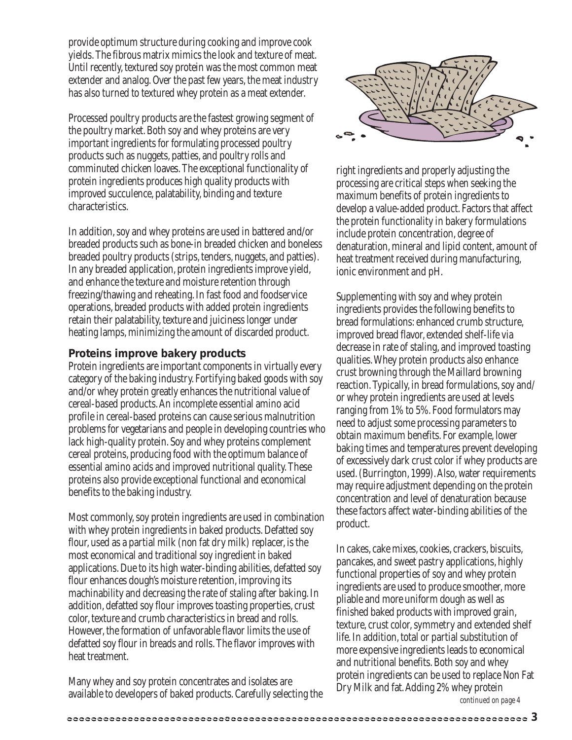provide optimum structure during cooking and improve cook yields. The fibrous matrix mimics the look and texture of meat. Until recently, textured soy protein was the most common meat extender and analog. Over the past few years, the meat industry has also turned to textured whey protein as a meat extender.

Processed poultry products are the fastest growing segment of the poultry market. Both soy and whey proteins are very important ingredients for formulating processed poultry products such as nuggets, patties, and poultry rolls and comminuted chicken loaves. The exceptional functionality of protein ingredients produces high quality products with improved succulence, palatability, binding and texture characteristics.

In addition, soy and whey proteins are used in battered and/or breaded products such as bone-in breaded chicken and boneless breaded poultry products (strips, tenders, nuggets, and patties). In any breaded application, protein ingredients improve yield, and enhance the texture and moisture retention through freezing/thawing and reheating. In fast food and foodservice operations, breaded products with added protein ingredients retain their palatability, texture and juiciness longer under heating lamps, minimizing the amount of discarded product.

#### **Proteins improve bakery products**

Protein ingredients are important components in virtually every category of the baking industry. Fortifying baked goods with soy and/or whey protein greatly enhances the nutritional value of cereal-based products. An incomplete essential amino acid profile in cereal-based proteins can cause serious malnutrition problems for vegetarians and people in developing countries who lack high-quality protein. Soy and whey proteins complement cereal proteins, producing food with the optimum balance of essential amino acids and improved nutritional quality. These proteins also provide exceptional functional and economical benefits to the baking industry.

Most commonly, soy protein ingredients are used in combination with whey protein ingredients in baked products. Defatted soy flour, used as a partial milk (non fat dry milk) replacer, is the most economical and traditional soy ingredient in baked applications. Due to its high water-binding abilities, defatted soy flour enhances dough's moisture retention, improving its machinability and decreasing the rate of staling after baking. In addition, defatted soy flour improves toasting properties, crust color, texture and crumb characteristics in bread and rolls. However, the formation of unfavorable flavor limits the use of defatted soy flour in breads and rolls. The flavor improves with heat treatment.

Many whey and soy protein concentrates and isolates are available to developers of baked products. Carefully selecting the



right ingredients and properly adjusting the processing are critical steps when seeking the maximum benefits of protein ingredients to develop a value-added product. Factors that affect the protein functionality in bakery formulations include protein concentration, degree of denaturation, mineral and lipid content, amount of heat treatment received during manufacturing, ionic environment and pH.

Supplementing with soy and whey protein ingredients provides the following benefits to bread formulations: enhanced crumb structure, improved bread flavor, extended shelf-life via decrease in rate of staling, and improved toasting qualities. Whey protein products also enhance crust browning through the Maillard browning reaction. Typically, in bread formulations, soy and/ or whey protein ingredients are used at levels ranging from 1% to 5%. Food formulators may need to adjust some processing parameters to obtain maximum benefits. For example, lower baking times and temperatures prevent developing of excessively dark crust color if whey products are used. (Burrington, 1999). Also, water requirements may require adjustment depending on the protein concentration and level of denaturation because these factors affect water-binding abilities of the product.

In cakes, cake mixes, cookies, crackers, biscuits, pancakes, and sweet pastry applications, highly functional properties of soy and whey protein ingredients are used to produce smoother, more pliable and more uniform dough as well as finished baked products with improved grain, texture, crust color, symmetry and extended shelf life. In addition, total or partial substitution of more expensive ingredients leads to economical and nutritional benefits. Both soy and whey protein ingredients can be used to replace Non Fat Dry Milk and fat. Adding 2% whey protein *continued on page 4*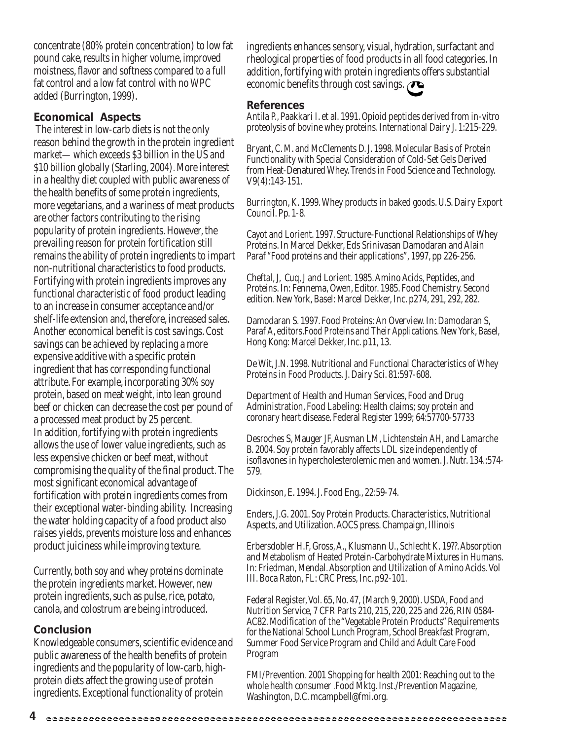concentrate (80% protein concentration) to low fat pound cake, results in higher volume, improved moistness, flavor and softness compared to a full fat control and a low fat control with no WPC added (Burrington, 1999).

#### **Economical Aspects**

 The interest in low-carb diets is not the only reason behind the growth in the protein ingredient market—which exceeds \$3 billion in the US and \$10 billion globally (Starling, 2004). More interest in a healthy diet coupled with public awareness of the health benefits of some protein ingredients, more vegetarians, and a wariness of meat products are other factors contributing to the rising popularity of protein ingredients. However, the prevailing reason for protein fortification still remains the ability of protein ingredients to impart non-nutritional characteristics to food products. Fortifying with protein ingredients improves any functional characteristic of food product leading to an increase in consumer acceptance and/or shelf-life extension and, therefore, increased sales. Another economical benefit is cost savings. Cost savings can be achieved by replacing a more expensive additive with a specific protein ingredient that has corresponding functional attribute. For example, incorporating 30% soy protein, based on meat weight, into lean ground beef or chicken can decrease the cost per pound of a processed meat product by 25 percent. In addition, fortifying with protein ingredients allows the use of lower value ingredients, such as less expensive chicken or beef meat, without compromising the quality of the final product. The most significant economical advantage of fortification with protein ingredients comes from their exceptional water-binding ability. Increasing the water holding capacity of a food product also raises yields, prevents moisture loss and enhances product juiciness while improving texture.

Currently, both soy and whey proteins dominate the protein ingredients market. However, new protein ingredients, such as pulse, rice, potato, canola, and colostrum are being introduced.

#### **Conclusion**

Knowledgeable consumers, scientific evidence and public awareness of the health benefits of protein ingredients and the popularity of low-carb, highprotein diets affect the growing use of protein ingredients. Exceptional functionality of protein

ingredients enhances sensory, visual, hydration, surfactant and rheological properties of food products in all food categories. In addition, fortifying with protein ingredients offers substantial economic benefits through cost savings.

#### **References**

Antila P., Paakkari I. et al. 1991. Opioid peptides derived from in-vitro proteolysis of bovine whey proteins. International Dairy J. 1:215-229.

Bryant, C. M. and McClements D. J. 1998. Molecular Basis of Protein Functionality with Special Consideration of Cold-Set Gels Derived from Heat-Denatured Whey. Trends in Food Science and Technology. V9(4):143-151.

Burrington, K. 1999. Whey products in baked goods. U.S. Dairy Export Council. Pp. 1-8.

Cayot and Lorient. 1997. Structure-Functional Relationships of Whey Proteins. In Marcel Dekker, Eds Srinivasan Damodaran and Alain Paraf "Food proteins and their applications", 1997, pp 226-256.

Cheftal, J, Cuq, J and Lorient. 1985. Amino Acids, Peptides, and Proteins. In: Fennema, Owen, Editor. 1985. Food Chemistry. Second edition. New York, Basel: Marcel Dekker, Inc. p274, 291, 292, 282.

Damodaran S. 1997. Food Proteins: An Overview. In: Damodaran S, Paraf A, editors.*Food Proteins and Their Applications.* New York, Basel, Hong Kong: Marcel Dekker, Inc. p11, 13.

De Wit, J.N. 1998. Nutritional and Functional Characteristics of Whey Proteins in Food Products. J. Dairy Sci. 81:597-608.

Department of Health and Human Services, Food and Drug Administration, Food Labeling: Health claims; soy protein and coronary heart disease. Federal Register 1999; 64:57700-57733

Desroches S, Mauger JF, Ausman LM, Lichtenstein AH, and Lamarche B. 2004. Soy protein favorably affects LDL size independently of isoflavones in hypercholesterolemic men and women. J. Nutr. 134.:574- 579.

Dickinson, E. 1994. J. Food Eng., 22:59-74.

Enders, J.G. 2001. Soy Protein Products. Characteristics, Nutritional Aspects, and Utilization. AOCS press. Champaign, Illinois

Erbersdobler H.F, Gross, A., Klusmann U., Schlecht K. 19??. Absorption and Metabolism of Heated Protein-Carbohydrate Mixtures in Humans. In: Friedman, Mendal. Absorption and Utilization of Amino Acids. Vol III. Boca Raton, FL: CRC Press, Inc. p92-101.

Federal Register, Vol. 65, No. 47, (March 9, 2000). USDA, Food and Nutrition Service, 7 CFR Parts 210, 215, 220, 225 and 226, RIN 0584- AC82. Modification of the "Vegetable Protein Products" Requirements for the National School Lunch Program, School Breakfast Program, Summer Food Service Program and Child and Adult Care Food Program

FMI/Prevention. 2001 Shopping for health 2001: Reaching out to the whole health consumer .Food Mktg. Inst./Prevention Magazine, Washington, D.C. mcampbell@fmi.org.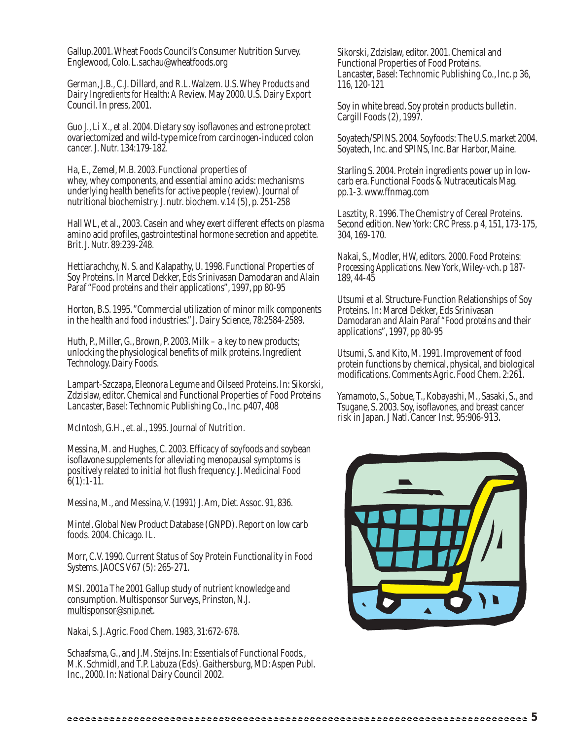Gallup.2001. Wheat Foods Council's Consumer Nutrition Survey. Englewood, Colo. L.sachau@wheatfoods.org

German, J.B., C.J. Dillard, and R.L. Walzem. *U.S. Whey Products and Dairy Ingredients for Health: A Review.* May 2000. U.S. Dairy Export Council. In press, 2001.

Guo J., Li X., et al. 2004. Dietary soy isoflavones and estrone protect ovariectomized and wild-type mice from carcinogen-induced colon cancer. J. Nutr. 134:179-182.

Ha, E., Zemel, M.B. 2003. Functional properties of whey, whey components, and essential amino acids: mechanisms underlying health benefits for active people (review). Journal of nutritional biochemistry. J. nutr. biochem. v.14 (5), p. 251-258

Hall WL, et al., 2003. Casein and whey exert different effects on plasma amino acid profiles, gastrointestinal hormone secretion and appetite. Brit. J. Nutr. 89:239-248.

Hettiarachchy, N. S. and Kalapathy, U. 1998. Functional Properties of Soy Proteins. In Marcel Dekker, Eds Srinivasan Damodaran and Alain Paraf "Food proteins and their applications", 1997, pp 80-95

Horton, B.S. 1995. "Commercial utilization of minor milk components in the health and food industries." J. Dairy Science, 78:2584-2589.

Huth, P., Miller, G., Brown, P. 2003. Milk – a key to new products; unlocking the physiological benefits of milk proteins. Ingredient Technology. Dairy Foods.

Lampart-Szczapa, Eleonora Legume and Oilseed Proteins. In: Sikorski, Zdzislaw, editor. Chemical and Functional Properties of Food Proteins Lancaster, Basel: Technomic Publishing Co., Inc. p407, 408

McIntosh, G.H., et. al., 1995. Journal of Nutrition.

Messina, M. and Hughes, C. 2003. Efficacy of soyfoods and soybean isoflavone supplements for alleviating menopausal symptoms is positively related to initial hot flush frequency. J. Medicinal Food  $6(1):1-11.$ 

Messina, M., and Messina, V. (1991) J. Am, Diet. Assoc. 91, 836.

Mintel. Global New Product Database (GNPD). Report on low carb foods. 2004. Chicago. IL.

Morr, C.V. 1990. Current Status of Soy Protein Functionality in Food Systems. JAOCS V67 (5): 265-271.

MSI. 2001a The 2001 Gallup study of nutrient knowledge and consumption. Multisponsor Surveys, Prinston, N.J. multisponsor@snip.net.

Nakai, S. J. Agric. Food Chem. 1983, 31:672-678.

Schaafsma, G., and J.M. Steijns. In: *Essentials of Functional Foods.*, M.K. Schmidl, and T.P. Labuza (Eds). Gaithersburg, MD: Aspen Publ. Inc., 2000. In: National Dairy Council 2002.

Sikorski, Zdzislaw, editor. 2001. Chemical and Functional Properties of Food Proteins. Lancaster, Basel: Technomic Publishing Co., Inc. p 36, 116, 120-121

Soy in white bread. Soy protein products bulletin. Cargill Foods (2), 1997.

Soyatech/SPINS. 2004. Soyfoods: The U.S. market 2004. Soyatech, Inc. and SPINS, Inc. Bar Harbor, Maine.

Starling S. 2004. Protein ingredients power up in lowcarb era. Functional Foods & Nutraceuticals Mag. pp.1-3. www.ffnmag.com

Lasztity, R. 1996. The Chemistry of Cereal Proteins. Second edition. New York: CRC Press. p 4, 151, 173-175, 304, 169-170.

Nakai, S., Modler, HW, editors. 2000. *Food Proteins: Processing Applications.* New York, Wiley-vch. p 187- 189, 44-45

Utsumi et al. Structure-Function Relationships of Soy Proteins. In: Marcel Dekker, Eds Srinivasan Damodaran and Alain Paraf "Food proteins and their applications", 1997, pp 80-95

Utsumi, S. and Kito, M. 1991. Improvement of food protein functions by chemical, physical, and biological modifications. Comments Agric. Food Chem. 2:261.

Yamamoto, S., Sobue, T., Kobayashi, M., Sasaki, S., and Tsugane, S. 2003. Soy, isoflavones, and breast cancer risk in Japan. J Natl. Cancer Inst. 95:906-913.

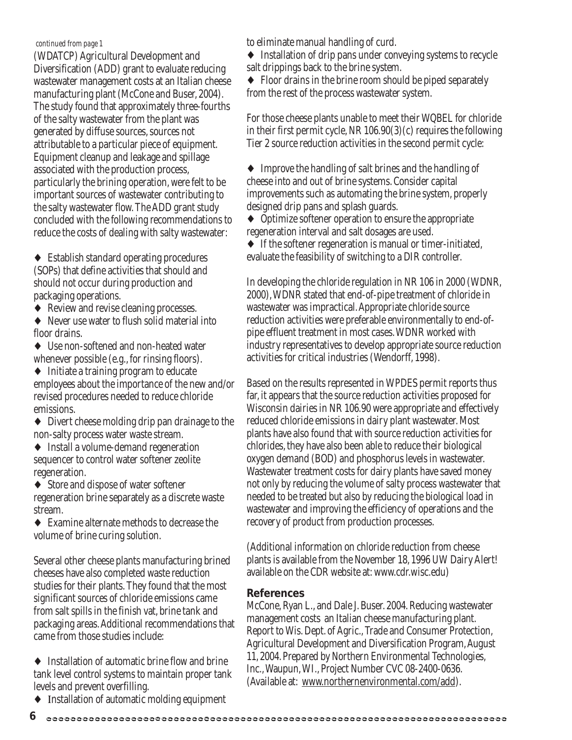#### *continued from page 1*

(WDATCP) Agricultural Development and Diversification (ADD) grant to evaluate reducing wastewater management costs at an Italian cheese manufacturing plant (McCone and Buser, 2004). The study found that approximately three-fourths of the salty wastewater from the plant was generated by diffuse sources, sources not attributable to a particular piece of equipment. Equipment cleanup and leakage and spillage associated with the production process, particularly the brining operation, were felt to be important sources of wastewater contributing to the salty wastewater flow. The ADD grant study concluded with the following recommendations to reduce the costs of dealing with salty wastewater:

♦ Establish standard operating procedures (SOPs) that define activities that should and should not occur during production and packaging operations.

- ♦ Review and revise cleaning processes.
- ♦ Never use water to flush solid material into floor drains.
- ♦ Use non-softened and non-heated water whenever possible (e.g., for rinsing floors).
- ♦ Initiate a training program to educate employees about the importance of the new and/or revised procedures needed to reduce chloride emissions.
- ♦ Divert cheese molding drip pan drainage to the non-salty process water waste stream.
- ♦ Install a volume-demand regeneration sequencer to control water softener zeolite regeneration.

♦ Store and dispose of water softener regeneration brine separately as a discrete waste stream.

♦ Examine alternate methods to decrease the volume of brine curing solution.

Several other cheese plants manufacturing brined cheeses have also completed waste reduction studies for their plants. They found that the most significant sources of chloride emissions came from salt spills in the finish vat, brine tank and packaging areas. Additional recommendations that came from those studies include:

- ♦ Installation of automatic brine flow and brine tank level control systems to maintain proper tank levels and prevent overfilling.
- ♦ Ιnstallation of automatic molding equipment

to eliminate manual handling of curd.

- ♦ Installation of drip pans under conveying systems to recycle salt drippings back to the brine system.
- ♦ Floor drains in the brine room should be piped separately from the rest of the process wastewater system.

For those cheese plants unable to meet their WQBEL for chloride in their first permit cycle, NR 106.90(3)(c) requires the following Tier 2 source reduction activities in the second permit cycle:

♦ Improve the handling of salt brines and the handling of cheese into and out of brine systems. Consider capital improvements such as automating the brine system, properly designed drip pans and splash guards.

♦ Optimize softener operation to ensure the appropriate regeneration interval and salt dosages are used.

♦ If the softener regeneration is manual or timer-initiated, evaluate the feasibility of switching to a DIR controller.

In developing the chloride regulation in NR 106 in 2000 (WDNR, 2000), WDNR stated that end-of-pipe treatment of chloride in wastewater was impractical. Appropriate chloride source reduction activities were preferable environmentally to end-ofpipe effluent treatment in most cases. WDNR worked with industry representatives to develop appropriate source reduction activities for critical industries (Wendorff, 1998).

Based on the results represented in WPDES permit reports thus far, it appears that the source reduction activities proposed for Wisconsin dairies in NR 106.90 were appropriate and effectively reduced chloride emissions in dairy plant wastewater. Most plants have also found that with source reduction activities for chlorides, they have also been able to reduce their biological oxygen demand (BOD) and phosphorus levels in wastewater. Wastewater treatment costs for dairy plants have saved money not only by reducing the volume of salty process wastewater that needed to be treated but also by reducing the biological load in wastewater and improving the efficiency of operations and the recovery of product from production processes.

(Additional information on chloride reduction from cheese plants is available from the November 18, 1996 UW Dairy Alert! available on the CDR website at: www.cdr.wisc.edu)

#### **References**

McCone, Ryan L., and Dale J. Buser. 2004. Reducing wastewater management costs an Italian cheese manufacturing plant. Report to Wis. Dept. of Agric., Trade and Consumer Protection, Agricultural Development and Diversification Program, August 11, 2004. Prepared by Northern Environmental Technologies, Inc., Waupun, WI., Project Number CVC 08-2400-0636. (Available at: www.northernenvironmental.com/add).

**<sup>6</sup>**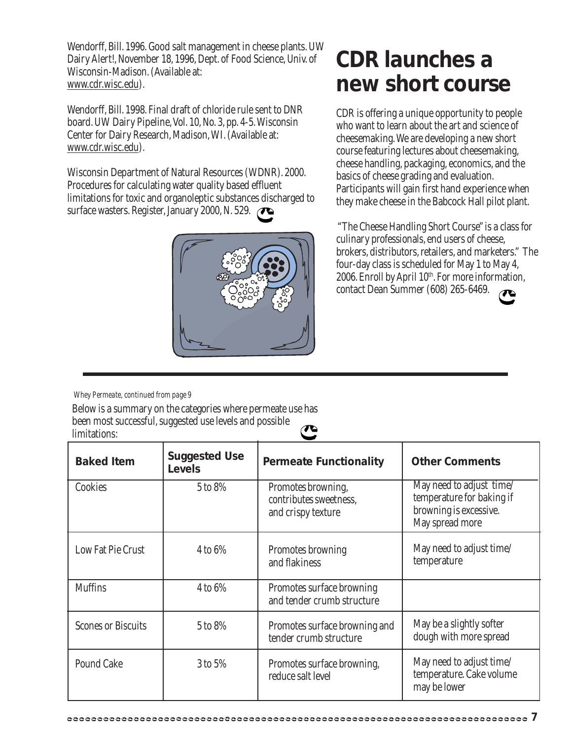Wendorff, Bill. 1996. Good salt management in cheese plants. UW Dairy Alert!, November 18, 1996, Dept. of Food Science, Univ. of Wisconsin-Madison. (Available at: www.cdr.wisc.edu).

Wendorff, Bill. 1998. Final draft of chloride rule sent to DNR board. UW Dairy Pipeline, Vol. 10, No. 3, pp. 4-5. Wisconsin Center for Dairy Research, Madison, WI. (Available at: www.cdr.wisc.edu).

Wisconsin Department of Natural Resources (WDNR). 2000. Procedures for calculating water quality based effluent limitations for toxic and organoleptic substances discharged to surface wasters. Register, January 2000, N. 529.



### **CDR launches a new short course**

CDR is offering a unique opportunity to people who want to learn about the art and science of cheesemaking. We are developing a new short course featuring lectures about cheesemaking, cheese handling, packaging, economics, and the basics of cheese grading and evaluation. Participants will gain first hand experience when they make cheese in the Babcock Hall pilot plant.

"The Cheese Handling Short Course" is a class for culinary professionals, end users of cheese, brokers, distributors, retailers, and marketers." The four-day class is scheduled for May 1 to May 4, 2006. Enroll by April 10<sup>th</sup>. For more information, contact Dean Summer (608) 265-6469.

*Whey Permeate, continued from page 9*

Below is a summary on the categories where permeate use has been most successful, suggested use levels and possible  $\boldsymbol{\pi}$ limitations:

| <b>Baked Item</b>         | <b>Suggested Use</b><br><b>Levels</b> | <b>Permeate Functionality</b>                                      | <b>Other Comments</b>                                                                              |
|---------------------------|---------------------------------------|--------------------------------------------------------------------|----------------------------------------------------------------------------------------------------|
| Cookies                   | 5 to 8%                               | Promotes browning,<br>contributes sweetness,<br>and crispy texture | May need to adjust time/<br>temperature for baking if<br>browning is excessive.<br>May spread more |
| Low Fat Pie Crust         | $4$ to $6\%$                          | Promotes browning<br>and flakiness                                 | May need to adjust time/<br>temperature                                                            |
| <b>Muffins</b>            | 4 to 6%                               | Promotes surface browning<br>and tender crumb structure            |                                                                                                    |
| <b>Scones or Biscuits</b> | 5 to 8%                               | Promotes surface browning and<br>tender crumb structure            | May be a slightly softer<br>dough with more spread                                                 |
| <b>Pound Cake</b>         | 3 to 5%                               | Promotes surface browning,<br>reduce salt level                    | May need to adjust time/<br>temperature. Cake volume<br>may be lower                               |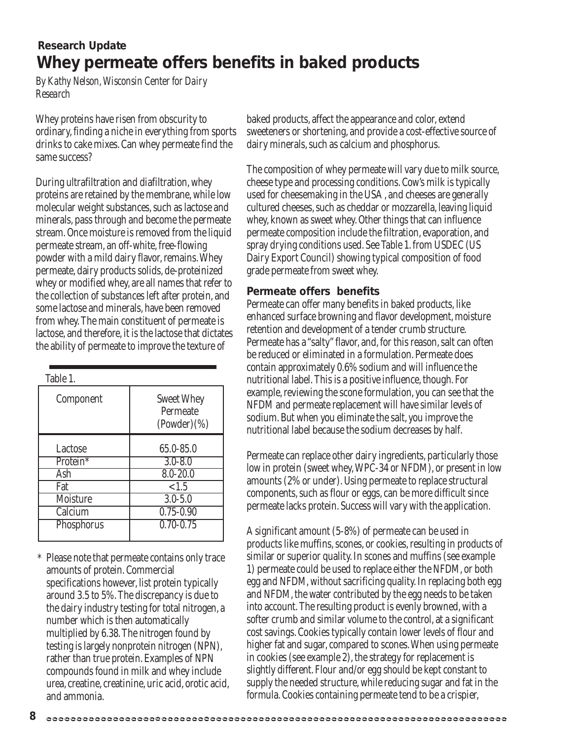#### **Whey permeate offers benefits in baked products Research Update**

*By Kathy Nelson, Wisconsin Center for Dairy Research*

Whey proteins have risen from obscurity to ordinary, finding a niche in everything from sports drinks to cake mixes. Can whey permeate find the same success?

During ultrafiltration and diafiltration, whey proteins are retained by the membrane, while low molecular weight substances, such as lactose and minerals, pass through and become the permeate stream. Once moisture is removed from the liquid permeate stream, an off-white, free-flowing powder with a mild dairy flavor, remains. Whey permeate, dairy products solids, de-proteinized whey or modified whey, are all names that refer to the collection of substances left after protein, and some lactose and minerals, have been removed from whey. The main constituent of permeate is lactose, and therefore, it is the lactose that dictates the ability of permeate to improve the texture of

| Table 1.             |                                                |
|----------------------|------------------------------------------------|
| Component            | <b>Sweet Whey</b><br>Permeate<br>$(Power)(\%)$ |
| Lactose              | 65.0-85.0                                      |
| Protein <sup>*</sup> | $3.0 - 8.0$                                    |
| Ash                  | $8.0 - 20.0$                                   |
| Fat                  | < 1.5                                          |
| Moisture             | $3.0 - 5.0$                                    |
| Calcium              | $0.75 - 0.90$                                  |
| Phosphorus           | $0.70 - 0.75$                                  |

\* Please note that permeate contains only trace amounts of protein. Commercial specifications however, list protein typically around 3.5 to 5%. The discrepancy is due to the dairy industry testing for total nitrogen, a number which is then automatically multiplied by 6.38. The nitrogen found by testing is largely nonprotein nitrogen (NPN), rather than true protein. Examples of NPN compounds found in milk and whey include urea, creatine, creatinine, uric acid, orotic acid, and ammonia.

baked products, affect the appearance and color, extend sweeteners or shortening, and provide a cost-effective source of dairy minerals, such as calcium and phosphorus.

The composition of whey permeate will vary due to milk source, cheese type and processing conditions. Cow's milk is typically used for cheesemaking in the USA , and cheeses are generally cultured cheeses, such as cheddar or mozzarella, leaving liquid whey, known as sweet whey. Other things that can influence permeate composition include the filtration, evaporation, and spray drying conditions used. See Table 1. from USDEC (US Dairy Export Council) showing typical composition of food grade permeate from sweet whey.

#### **Permeate offers benefits**

Permeate can offer many benefits in baked products, like enhanced surface browning and flavor development, moisture retention and development of a tender crumb structure. Permeate has a "salty" flavor, and, for this reason, salt can often be reduced or eliminated in a formulation. Permeate does contain approximately 0.6% sodium and will influence the nutritional label. This is a positive influence, though. For example, reviewing the scone formulation, you can see that the NFDM and permeate replacement will have similar levels of sodium. But when you eliminate the salt, you improve the nutritional label because the sodium decreases by half.

Permeate can replace other dairy ingredients, particularly those low in protein (sweet whey, WPC-34 or NFDM), or present in low amounts (2% or under). Using permeate to replace structural components, such as flour or eggs, can be more difficult since permeate lacks protein. Success will vary with the application.

A significant amount (5-8%) of permeate can be used in products like muffins, scones, or cookies, resulting in products of similar or superior quality. In scones and muffins (see example 1) permeate could be used to replace either the NFDM, or both egg and NFDM, without sacrificing quality. In replacing both egg and NFDM, the water contributed by the egg needs to be taken into account. The resulting product is evenly browned, with a softer crumb and similar volume to the control, at a significant cost savings. Cookies typically contain lower levels of flour and higher fat and sugar, compared to scones. When using permeate in cookies (see example 2), the strategy for replacement is slightly different. Flour and/or egg should be kept constant to supply the needed structure, while reducing sugar and fat in the formula. Cookies containing permeate tend to be a crispier,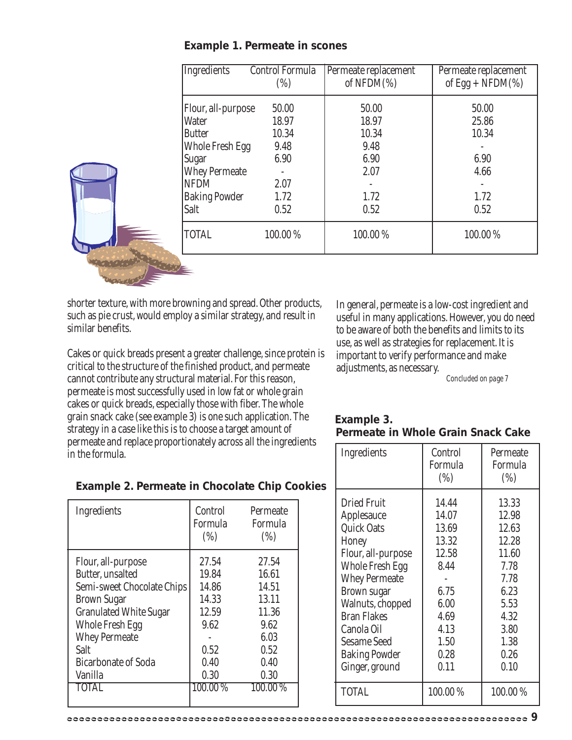| Control Formula<br>(%) | Permeate replacement<br>of NFDM $(\%)$ | Permeate replacement<br>of Egg + NFDM $(\%)$ |
|------------------------|----------------------------------------|----------------------------------------------|
| 50.00                  | 50.00                                  | 50.00                                        |
| 18.97                  | 18.97                                  | 25.86                                        |
| 10.34                  | 10.34                                  | 10.34                                        |
| 9.48                   | 9.48                                   |                                              |
| 6.90                   | 6.90                                   | 6.90                                         |
|                        | 2.07                                   | 4.66                                         |
| 2.07                   |                                        |                                              |
| 1.72                   | 1.72                                   | 1.72                                         |
| 0.52                   | 0.52                                   | 0.52                                         |
| 100.00%                | 100.00%                                | 100.00%                                      |
|                        |                                        |                                              |

#### **Example 1. Permeate in scones**

shorter texture, with more browning and spread. Other products, such as pie crust, would employ a similar strategy, and result in similar benefits.

Cakes or quick breads present a greater challenge, since protein is critical to the structure of the finished product, and permeate cannot contribute any structural material. For this reason, permeate is most successfully used in low fat or whole grain cakes or quick breads, especially those with fiber. The whole grain snack cake (see example 3) is one such application. The strategy in a case like this is to choose a target amount of permeate and replace proportionately across all the ingredients in the formula.

In general, permeate is a low-cost ingredient and useful in many applications. However, you do need to be aware of both the benefits and limits to its use, as well as strategies for replacement. It is important to verify performance and make adjustments, as necessary.

*Concluded on page 7*

| Example 3. |                                    |  |
|------------|------------------------------------|--|
|            | Permeate in Whole Grain Snack Cake |  |

| Ingredients                                                                                                                                                                                                                                                                          | Control<br>Formula<br>(%)                                                                                 | Permeate<br>Formula<br>(%)                                                                                        |
|--------------------------------------------------------------------------------------------------------------------------------------------------------------------------------------------------------------------------------------------------------------------------------------|-----------------------------------------------------------------------------------------------------------|-------------------------------------------------------------------------------------------------------------------|
| <b>Dried Fruit</b><br>Applesauce<br><b>Quick Oats</b><br>Honey<br>Flour, all-purpose<br><b>Whole Fresh Egg</b><br><b>Whey Permeate</b><br><b>Brown sugar</b><br>Walnuts, chopped<br><b>Bran Flakes</b><br>Canola Oil<br><b>Sesame Seed</b><br><b>Baking Powder</b><br>Ginger, ground | 14.44<br>14.07<br>13.69<br>13.32<br>12.58<br>8.44<br>6.75<br>6.00<br>4.69<br>4.13<br>1.50<br>0.28<br>0.11 | 13.33<br>12.98<br>12.63<br>12.28<br>11.60<br>7.78<br>7.78<br>6.23<br>5.53<br>4.32<br>3.80<br>1.38<br>0.26<br>0.10 |
| <b>TOTAL</b>                                                                                                                                                                                                                                                                         | 100.00%                                                                                                   | 100.00%                                                                                                           |

#### **Example 2. Permeate in Chocolate Chip Cookies**

| Ingredients                   | Control<br>Formula<br>(%) | Permeate<br>Formula<br>(%) |
|-------------------------------|---------------------------|----------------------------|
| Flour, all-purpose            | 27.54                     | 27.54                      |
| Butter, unsalted              | 19.84                     | 16.61                      |
| Semi-sweet Chocolate Chips    | 14.86                     | 14.51                      |
| <b>Brown Sugar</b>            | 14.33                     | 13.11                      |
| <b>Granulated White Sugar</b> | 12.59                     | 11.36                      |
| Whole Fresh Egg               | 9.62                      | 9.62                       |
| <b>Whey Permeate</b>          |                           | 6.03                       |
| Salt                          | 0.52                      | 0.52                       |
| <b>Bicarbonate of Soda</b>    | 0.40                      | 0.40                       |
| Vanilla                       | 0.30                      | 0.30                       |
| TOTAL                         | 100.00 %                  | 100.00%                    |
|                               |                           |                            |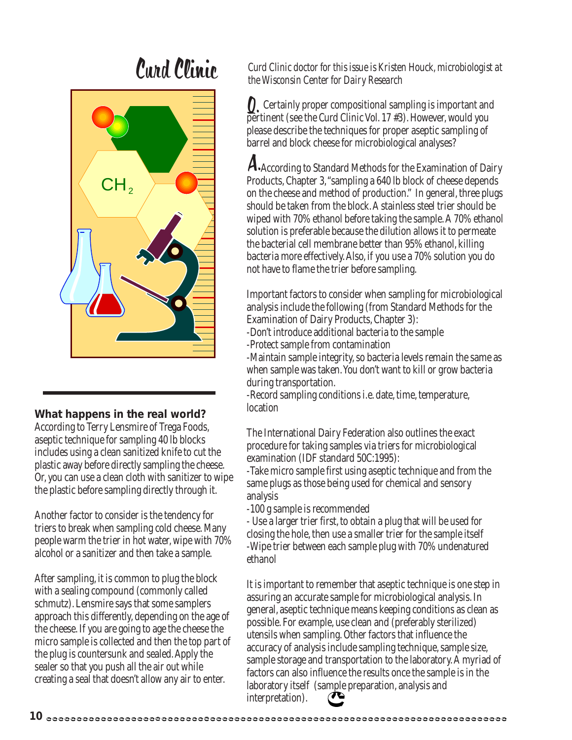# Curd Clinic



#### **What happens in the real world?**

According to Terry Lensmire of Trega Foods, aseptic technique for sampling 40 lb blocks includes using a clean sanitized knife to cut the plastic away before directly sampling the cheese. Or, you can use a clean cloth with sanitizer to wipe the plastic before sampling directly through it.

Another factor to consider is the tendency for triers to break when sampling cold cheese. Many people warm the trier in hot water, wipe with 70% alcohol or a sanitizer and then take a sample.

After sampling, it is common to plug the block with a sealing compound (commonly called schmutz). Lensmire says that some samplers approach this differently, depending on the age of the cheese. If you are going to age the cheese the micro sample is collected and then the top part of the plug is countersunk and sealed. Apply the sealer so that you push all the air out while creating a seal that doesn't allow any air to enter.

*Curd Clinic doctor for this issue is Kristen Houck, microbiologist at the Wisconsin Center for Dairy Research*

 Certainly proper compositional sampling is important and **Q.** Certainly proper compositional sampling is important an<br>pertinent (see the Curd Clinic Vol. 17 #3). However, would you please describe the techniques for proper aseptic sampling of barrel and block cheese for microbiological analyses?

A. According to Standard Methods for the Examination of Dairy Products, Chapter 3, "sampling a 640 lb block of cheese depends on the cheese and method of production." In general, three plugs should be taken from the block. A stainless steel trier should be wiped with 70% ethanol before taking the sample. A 70% ethanol solution is preferable because the dilution allows it to permeate the bacterial cell membrane better than 95% ethanol, killing bacteria more effectively. Also, if you use a 70% solution you do not have to flame the trier before sampling.

Important factors to consider when sampling for microbiological analysis include the following (from Standard Methods for the Examination of Dairy Products, Chapter 3):

-Don't introduce additional bacteria to the sample

-Protect sample from contamination

-Maintain sample integrity, so bacteria levels remain the same as when sample was taken. You don't want to kill or grow bacteria during transportation.

-Record sampling conditions i.e. date, time, temperature, location

The International Dairy Federation also outlines the exact procedure for taking samples via triers for microbiological examination (IDF standard 50C:1995):

-Take micro sample first using aseptic technique and from the same plugs as those being used for chemical and sensory analysis

-100 g sample is recommended

- Use a larger trier first, to obtain a plug that will be used for closing the hole, then use a smaller trier for the sample itself -Wipe trier between each sample plug with 70% undenatured ethanol

It is important to remember that aseptic technique is one step in assuring an accurate sample for microbiological analysis. In general, aseptic technique means keeping conditions as clean as possible. For example, use clean and (preferably sterilized) utensils when sampling. Other factors that influence the accuracy of analysis include sampling technique, sample size, sample storage and transportation to the laboratory. A myriad of factors can also influence the results once the sample is in the laboratory itself (sample preparation, analysis and interpretation).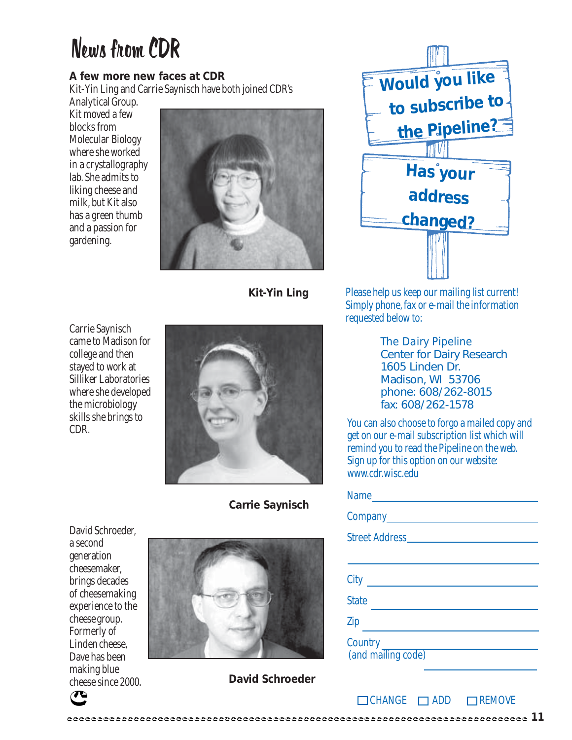# News from CDR

#### **A few more new faces at CDR**

Kit-Yin Ling and Carrie Saynisch have both joined CDR's

Analytical Group. Kit moved a few blocks from Molecular Biology where she worked in a crystallography lab. She admits to liking cheese and milk, but Kit also has a green thumb and a passion for gardening.



**Kit-Yin Ling**



Please help us keep our mailing list current! Simply phone, fax or e-mail the information requested below to:

*The Dairy Pipeline* Center for Dairy Research 1605 Linden Dr. Madison, WI 53706 phone: 608/262-8015 fax: 608/262-1578

You can also choose to forgo a mailed copy and get on our e-mail subscription list which will remind you to read the Pipeline on the web. Sign up for this option on our website: www.cdr.wisc.edu

| Name                                         |
|----------------------------------------------|
|                                              |
| <b>Street Address</b>                        |
|                                              |
| City                                         |
| <b>State</b>                                 |
| Zip                                          |
| Country <b>Country</b><br>(and mailing code) |

 $\Box$ CHANGE  $\Box$ ADD  $\Box$ REMOVE

Carrie Saynisch came to Madison for college and then stayed to work at Silliker Laboratories where she developed the microbiology skills she brings to CDR.

**Carrie Saynisch**





**David Schroeder**